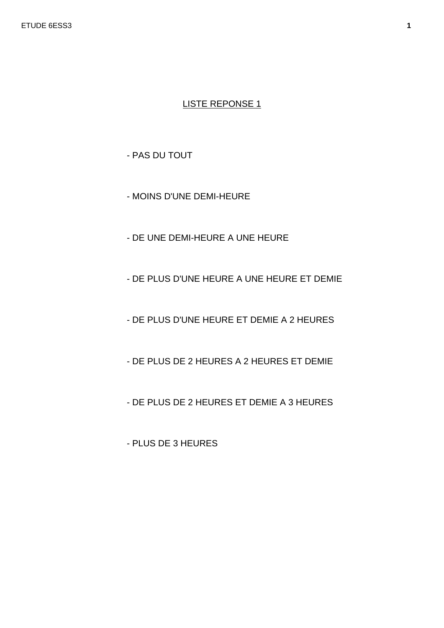- PAS DU TOUT

- MOINS D'UNE DEMI-HEURE
- DE UNE DEMI-HEURE A UNE HEURE
- DE PLUS D'UNE HEURE A UNE HEURE ET DEMIE
- DE PLUS D'UNE HEURE ET DEMIE A 2 HEURES
- DE PLUS DE 2 HEURES A 2 HEURES ET DEMIE
- DE PLUS DE 2 HEURES ET DEMIE A 3 HEURES
- PLUS DE 3 HEURES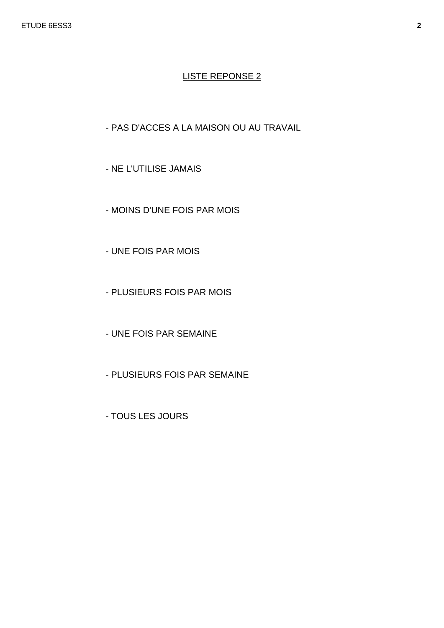## - PAS D'ACCES A LA MAISON OU AU TRAVAIL

- NE L'UTILISE JAMAIS
- MOINS D'UNE FOIS PAR MOIS
- UNE FOIS PAR MOIS
- PLUSIEURS FOIS PAR MOIS
- UNE FOIS PAR SEMAINE
- PLUSIEURS FOIS PAR SEMAINE
- TOUS LES JOURS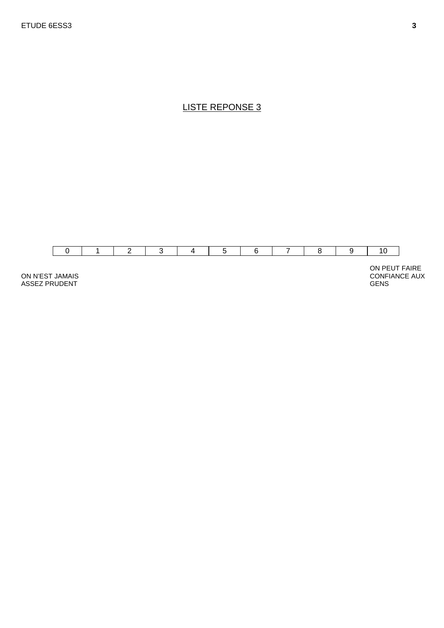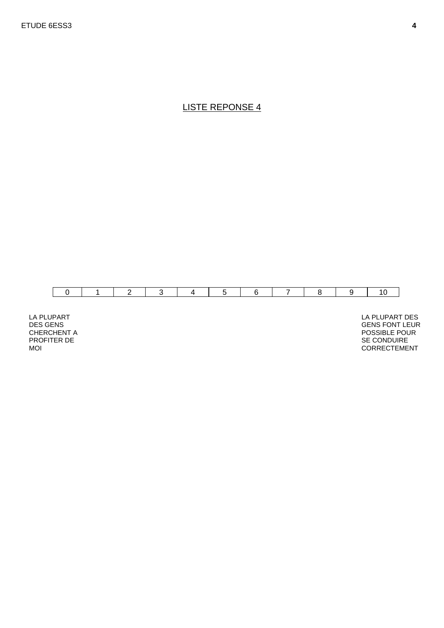

LA PLUPART DES GENS CHERCHENT A PROFITER DE MOI

 LA PLUPART DES GENS FONT LEUR POSSIBLE POUR SE CONDUIRE CORRECTEMENT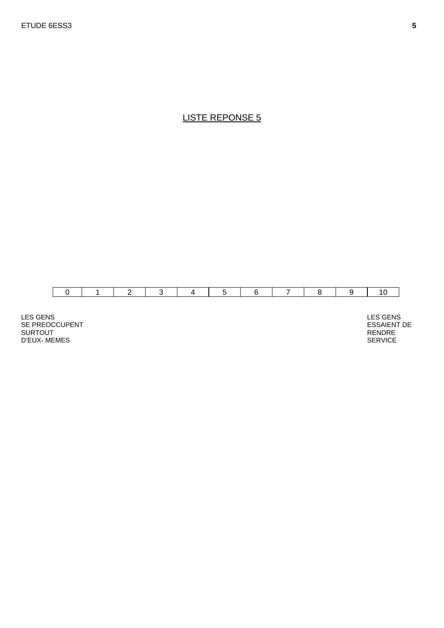

LES GENS SE PREOCCUPENT SURTOUT D'EUX- MEMES

 LES GENS ESSAIENT DE RENDRE SERVICE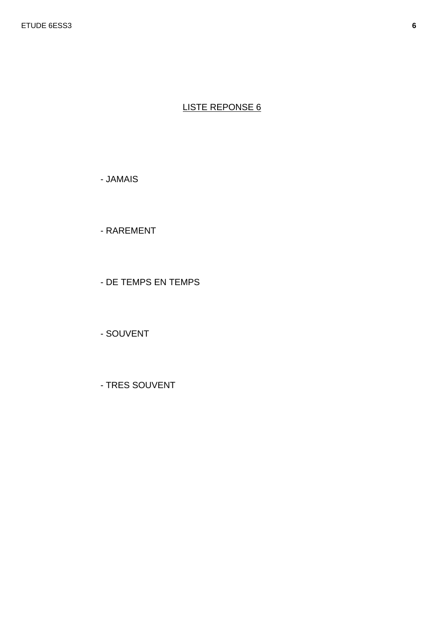- JAMAIS

- RAREMENT

- DE TEMPS EN TEMPS

- SOUVENT

- TRES SOUVENT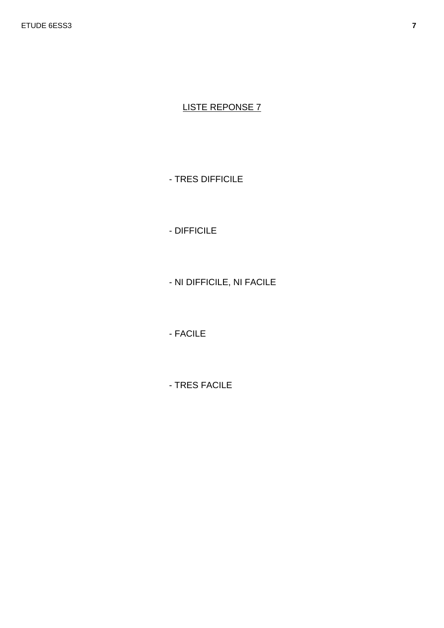- TRES DIFFICILE

- DIFFICILE

- NI DIFFICILE, NI FACILE

- FACILE

- TRES FACILE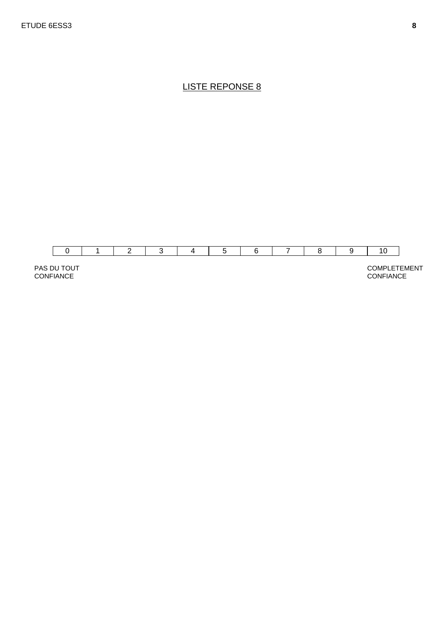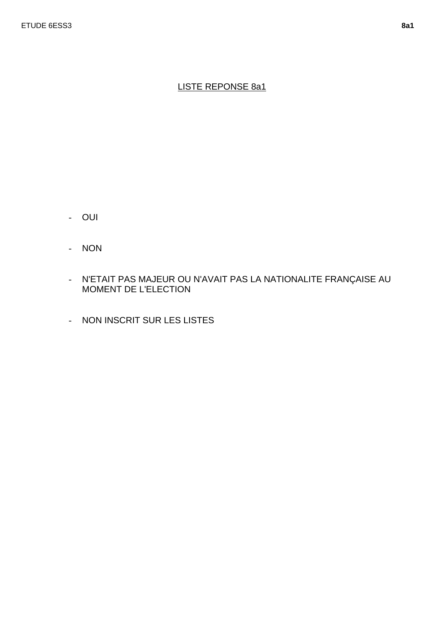## LISTE REPONSE 8a1

- OUI
- NON
- N'ETAIT PAS MAJEUR OU N'AVAIT PAS LA NATIONALITE FRANÇAISE AU MOMENT DE L'ELECTION
- NON INSCRIT SUR LES LISTES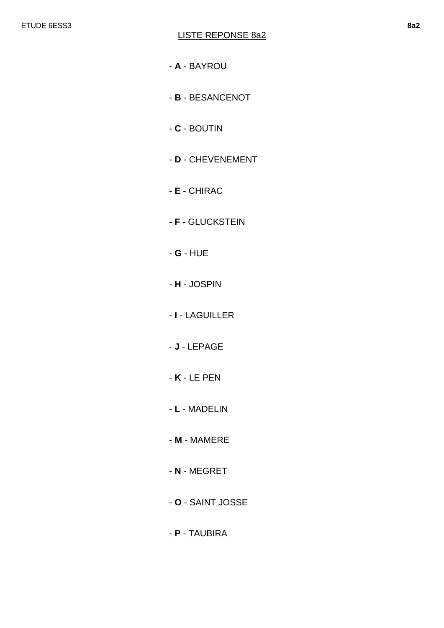- **A** BAYROU
- **B**  BESANCENOT
- **C**  BOUTIN
- **D** CHEVENEMENT
- **E** CHIRAC
- **F**  GLUCKSTEIN
- **G** HUE
- **H**  JOSPIN
- **I** LAGUILLER
- **J** LEPAGE
- **K** LE PEN
- **L** MADELIN
- **M** MAMERE
- **N** MEGRET
- **O** SAINT JOSSE
- **P** TAUBIRA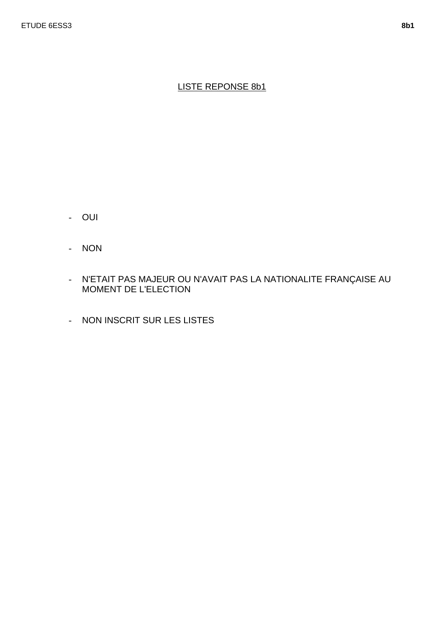## LISTE REPONSE 8b1

- OUI
- NON
- N'ETAIT PAS MAJEUR OU N'AVAIT PAS LA NATIONALITE FRANÇAISE AU MOMENT DE L'ELECTION
- NON INSCRIT SUR LES LISTES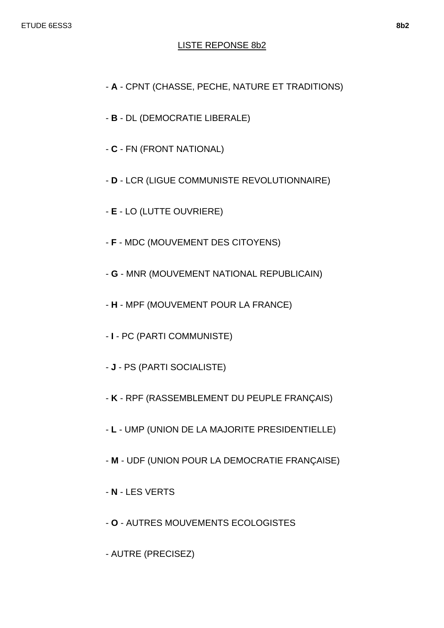### LISTE REPONSE 8b2

- **A** CPNT (CHASSE, PECHE, NATURE ET TRADITIONS)
- **B** DL (DEMOCRATIE LIBERALE)
- **C** FN (FRONT NATIONAL)
- **D** LCR (LIGUE COMMUNISTE REVOLUTIONNAIRE)
- **E** LO (LUTTE OUVRIERE)
- **F** MDC (MOUVEMENT DES CITOYENS)
- **G** MNR (MOUVEMENT NATIONAL REPUBLICAIN)
- **H** MPF (MOUVEMENT POUR LA FRANCE)
- **I** PC (PARTI COMMUNISTE)
- **J** PS (PARTI SOCIALISTE)
- **K** RPF (RASSEMBLEMENT DU PEUPLE FRANÇAIS)
- **L** UMP (UNION DE LA MAJORITE PRESIDENTIELLE)
- **M** UDF (UNION POUR LA DEMOCRATIE FRANÇAISE)
- **N** LES VERTS
- **O** AUTRES MOUVEMENTS ECOLOGISTES
- AUTRE (PRECISEZ)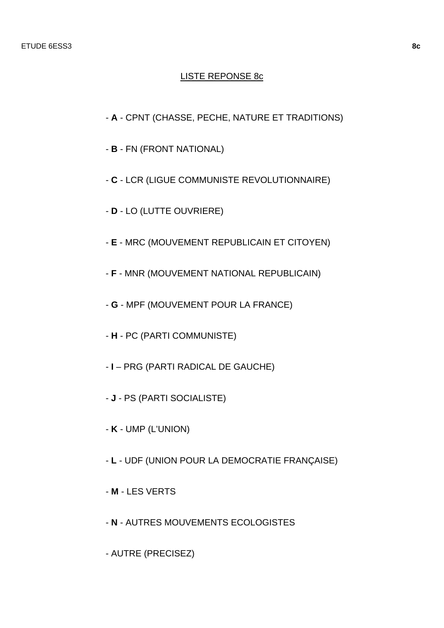#### LISTE REPONSE 8c

- **A** CPNT (CHASSE, PECHE, NATURE ET TRADITIONS)
- **B** FN (FRONT NATIONAL)
- **C** LCR (LIGUE COMMUNISTE REVOLUTIONNAIRE)
- **D** LO (LUTTE OUVRIERE)
- **E** MRC (MOUVEMENT REPUBLICAIN ET CITOYEN)
- **F** MNR (MOUVEMENT NATIONAL REPUBLICAIN)
- **G** MPF (MOUVEMENT POUR LA FRANCE)
- **H** PC (PARTI COMMUNISTE)
- **I** PRG (PARTI RADICAL DE GAUCHE)
- **J** PS (PARTI SOCIALISTE)
- **K** UMP (L'UNION)
- **L** UDF (UNION POUR LA DEMOCRATIE FRANÇAISE)
- **M** LES VERTS
- **N** AUTRES MOUVEMENTS ECOLOGISTES
- AUTRE (PRECISEZ)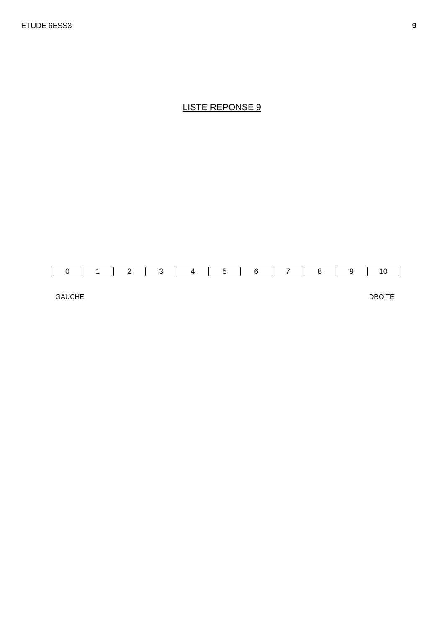GAUCHE

DROITE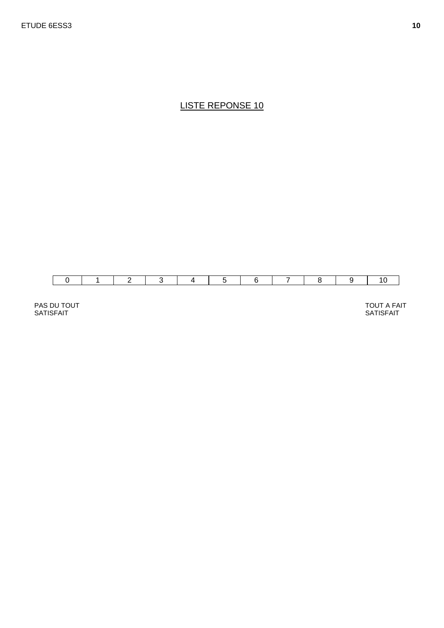

PAS DU TOUT SATISFAIT

 TOUT A FAIT SATISFAIT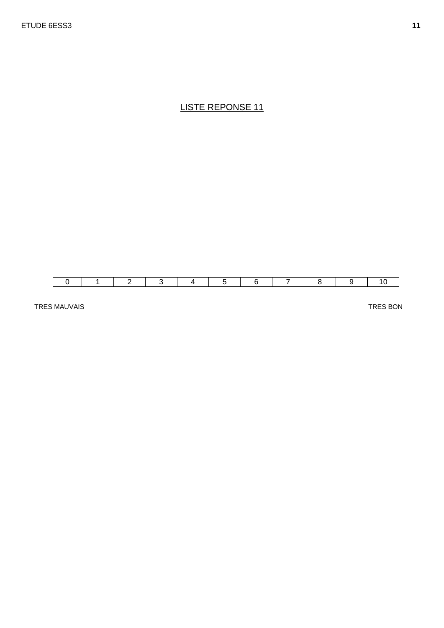

TRES MAUVAIS

TRES BON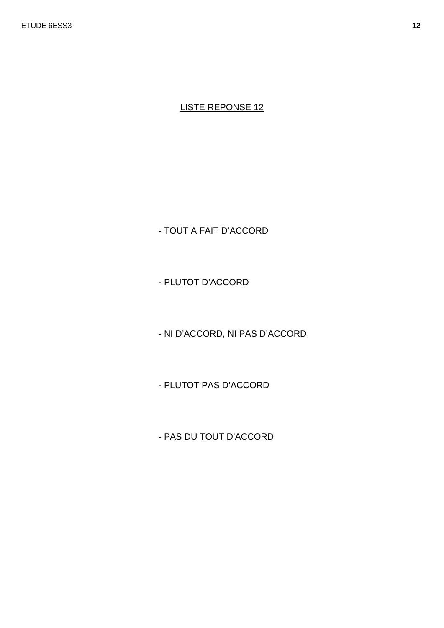- TOUT A FAIT D'ACCORD

- PLUTOT D'ACCORD

- NI D'ACCORD, NI PAS D'ACCORD

- PLUTOT PAS D'ACCORD

- PAS DU TOUT D'ACCORD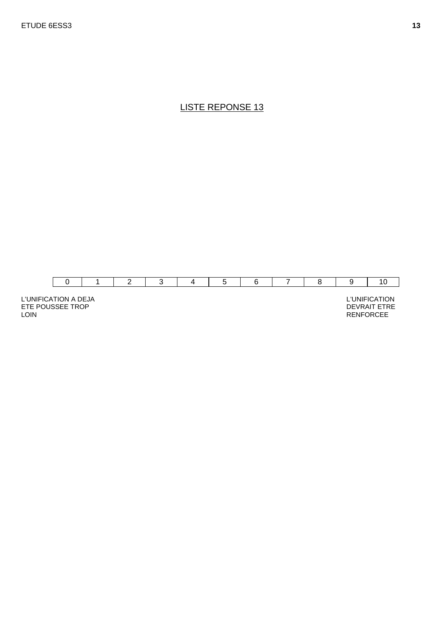

L'UNIFICATION A DEJA ETE POUSSEE TROP LOIN

 L'UNIFICATION DEVRAIT ETRE RENFORCEE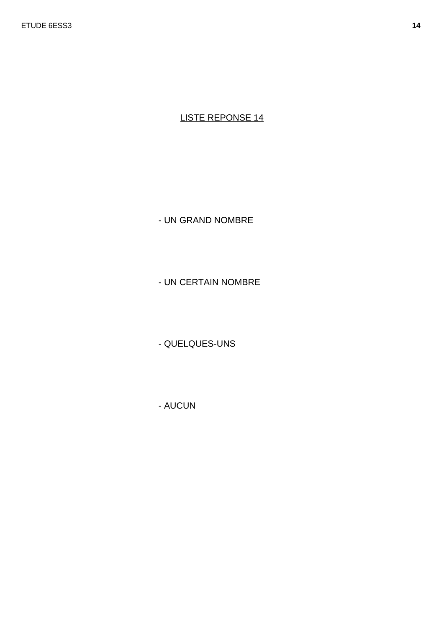- UN GRAND NOMBRE

- UN CERTAIN NOMBRE

- QUELQUES-UNS

- AUCUN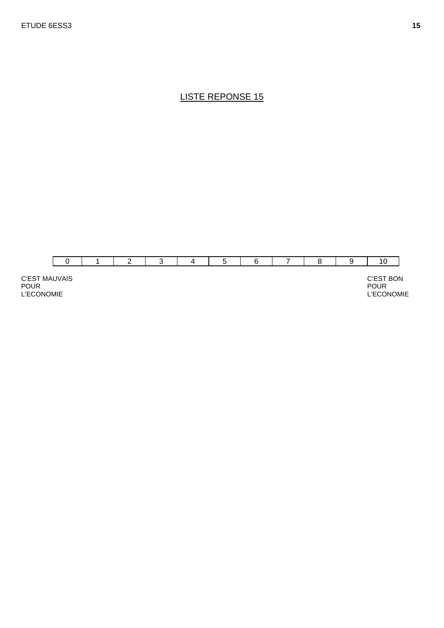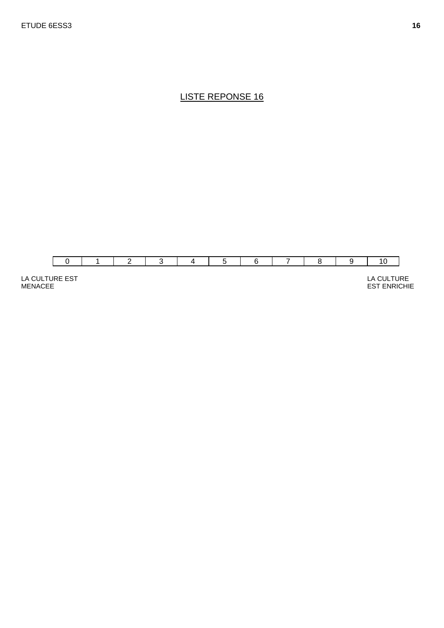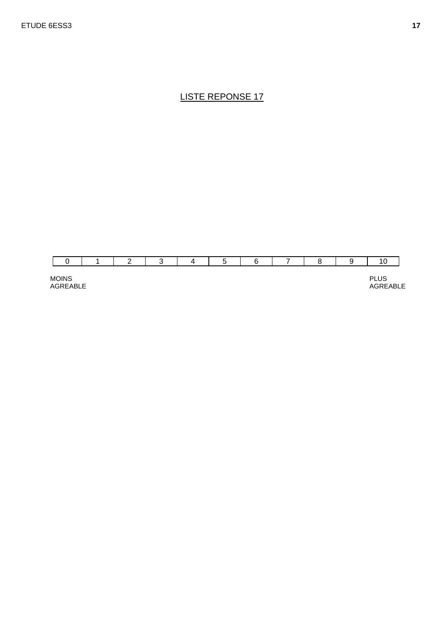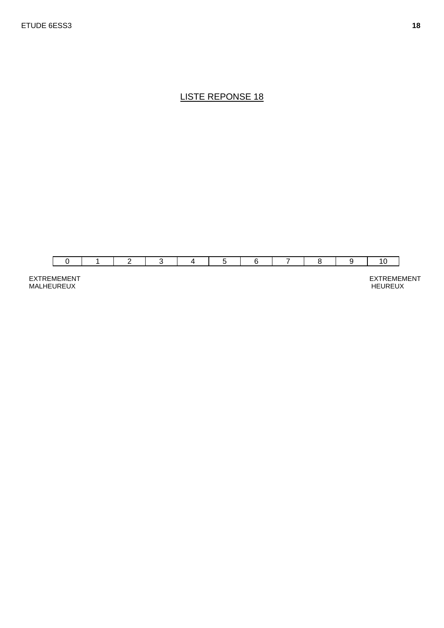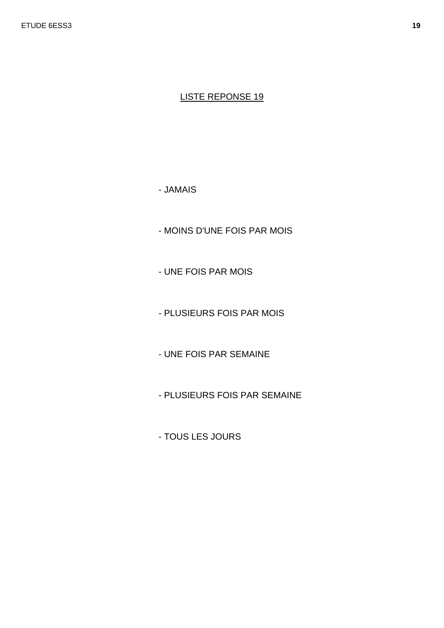- JAMAIS

- MOINS D'UNE FOIS PAR MOIS

- UNE FOIS PAR MOIS

- PLUSIEURS FOIS PAR MOIS

- UNE FOIS PAR SEMAINE

- PLUSIEURS FOIS PAR SEMAINE

- TOUS LES JOURS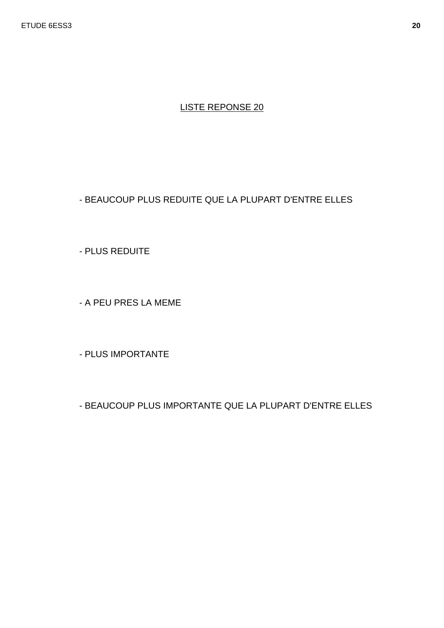#### - BEAUCOUP PLUS REDUITE QUE LA PLUPART D'ENTRE ELLES

- PLUS REDUITE

- A PEU PRES LA MEME

- PLUS IMPORTANTE

- BEAUCOUP PLUS IMPORTANTE QUE LA PLUPART D'ENTRE ELLES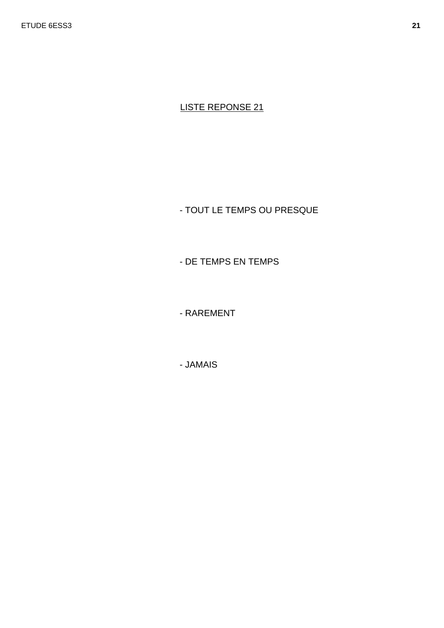- TOUT LE TEMPS OU PRESQUE

- DE TEMPS EN TEMPS

- RAREMENT

- JAMAIS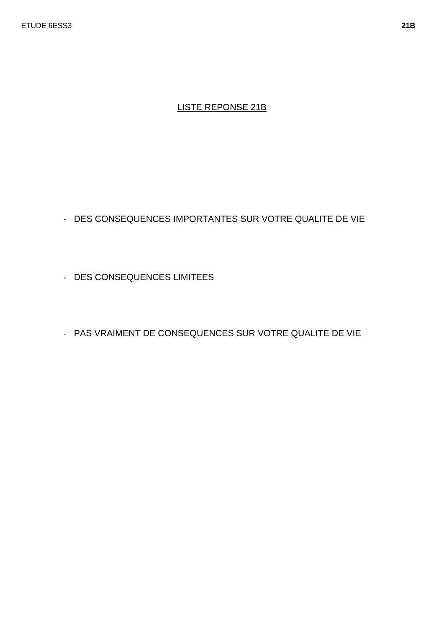## LISTE REPONSE 21B

- DES CONSEQUENCES IMPORTANTES SUR VOTRE QUALITE DE VIE

- DES CONSEQUENCES LIMITEES

- PAS VRAIMENT DE CONSEQUENCES SUR VOTRE QUALITE DE VIE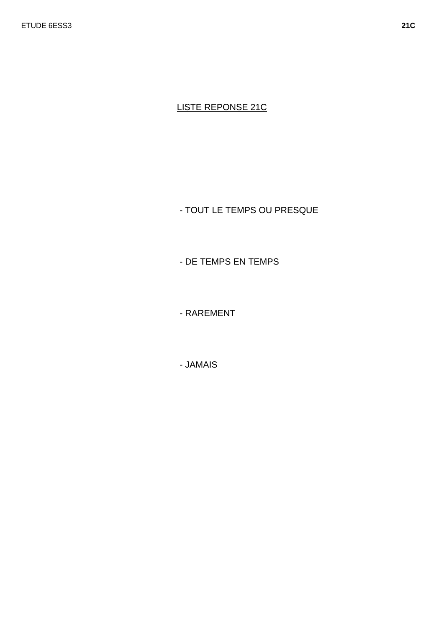**LISTE REPONSE 21C** 

- TOUT LE TEMPS OU PRESQUE

- DE TEMPS EN TEMPS

- RAREMENT

- JAMAIS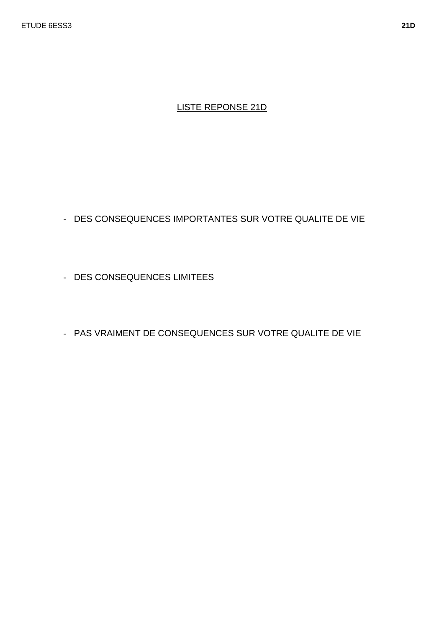## LISTE REPONSE 21D

- DES CONSEQUENCES IMPORTANTES SUR VOTRE QUALITE DE VIE

- DES CONSEQUENCES LIMITEES

- PAS VRAIMENT DE CONSEQUENCES SUR VOTRE QUALITE DE VIE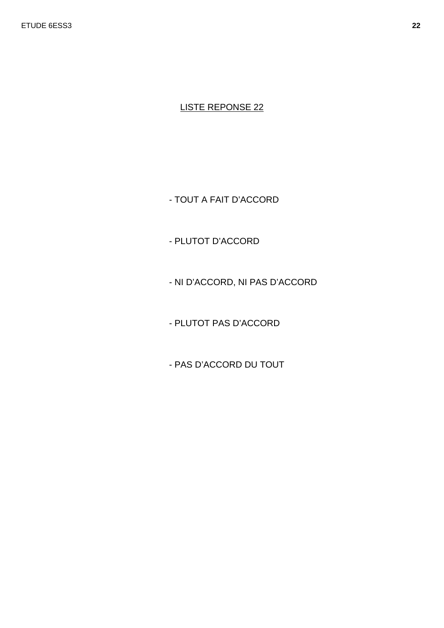- TOUT A FAIT D'ACCORD

- PLUTOT D'ACCORD

- NI D'ACCORD, NI PAS D'ACCORD

- PLUTOT PAS D'ACCORD

- PAS D'ACCORD DU TOUT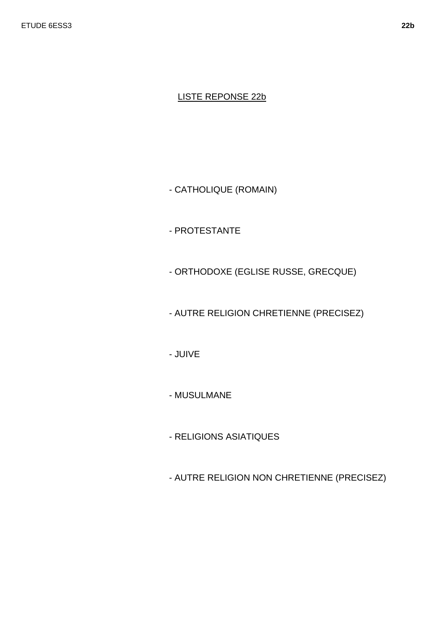#### LISTE REPONSE 22b

- CATHOLIQUE (ROMAIN)

- PROTESTANTE

- ORTHODOXE (EGLISE RUSSE, GRECQUE)

- AUTRE RELIGION CHRETIENNE (PRECISEZ)

- JUIVE

- MUSULMANE

- RELIGIONS ASIATIQUES

- AUTRE RELIGION NON CHRETIENNE (PRECISEZ)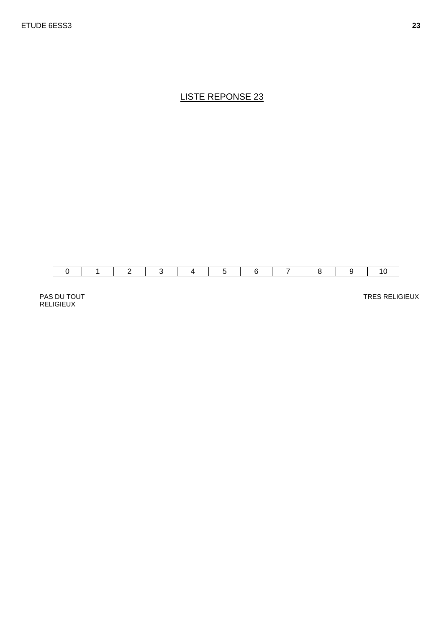

PAS DU TOUT RELIGIEUX

TRES RELIGIEUX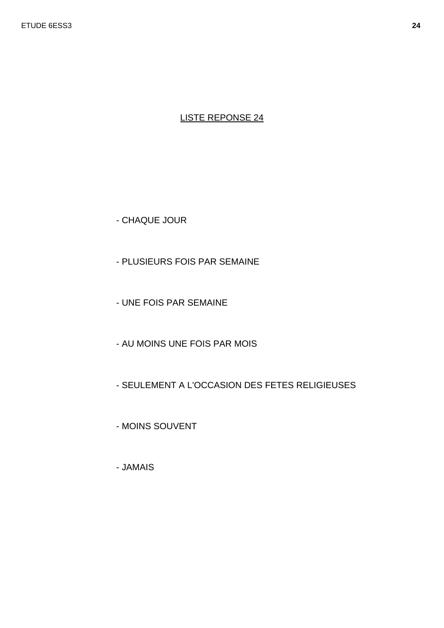- CHAQUE JOUR

- PLUSIEURS FOIS PAR SEMAINE
- UNE FOIS PAR SEMAINE
- AU MOINS UNE FOIS PAR MOIS
- SEULEMENT A L'OCCASION DES FETES RELIGIEUSES
- MOINS SOUVENT
- JAMAIS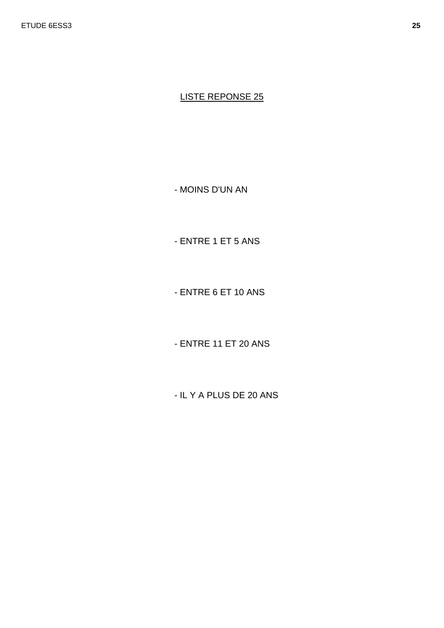- MOINS D'UN AN

- ENTRE 1 ET 5 ANS

- ENTRE 6 ET 10 ANS

- ENTRE 11 ET 20 ANS

- IL Y A PLUS DE 20 ANS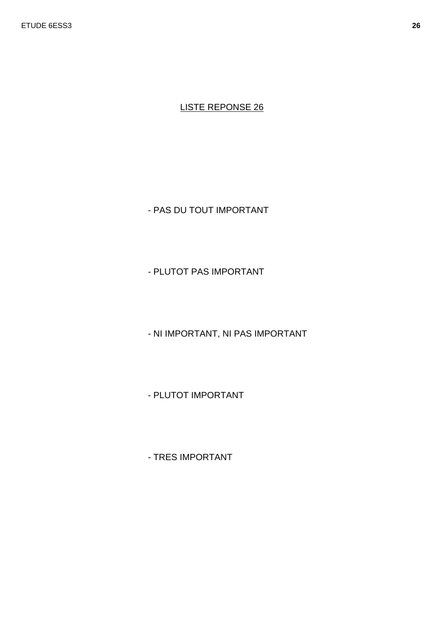- PAS DU TOUT IMPORTANT

- PLUTOT PAS IMPORTANT

- NI IMPORTANT, NI PAS IMPORTANT

- PLUTOT IMPORTANT

- TRES IMPORTANT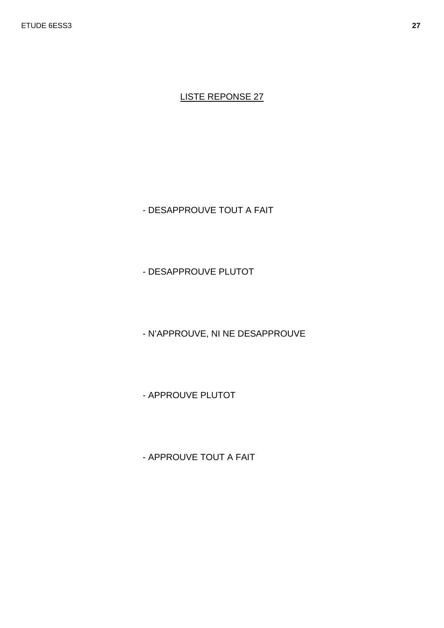- DESAPPROUVE TOUT A FAIT

- DESAPPROUVE PLUTOT

- N'APPROUVE, NI NE DESAPPROUVE

- APPROUVE PLUTOT

- APPROUVE TOUT A FAIT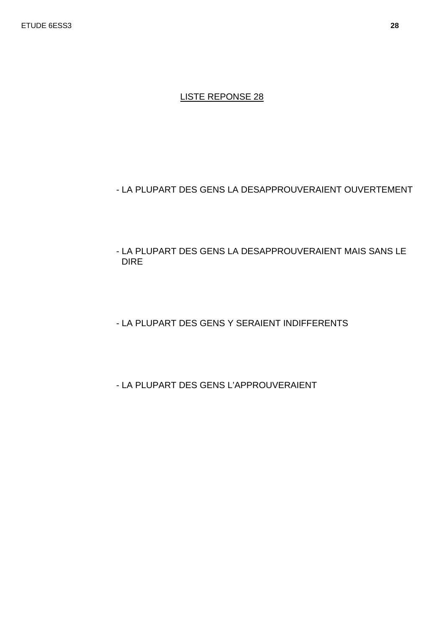#### - LA PLUPART DES GENS LA DESAPPROUVERAIENT OUVERTEMENT

- LA PLUPART DES GENS LA DESAPPROUVERAIENT MAIS SANS LE DIRE
- LA PLUPART DES GENS Y SERAIENT INDIFFERENTS
- LA PLUPART DES GENS L'APPROUVERAIENT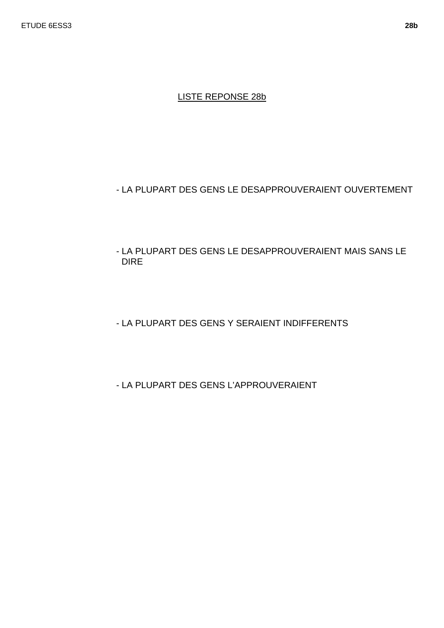#### LISTE REPONSE 28b

### - LA PLUPART DES GENS LE DESAPPROUVERAIENT OUVERTEMENT

- LA PLUPART DES GENS LE DESAPPROUVERAIENT MAIS SANS LE DIRE
- LA PLUPART DES GENS Y SERAIENT INDIFFERENTS
- LA PLUPART DES GENS L'APPROUVERAIENT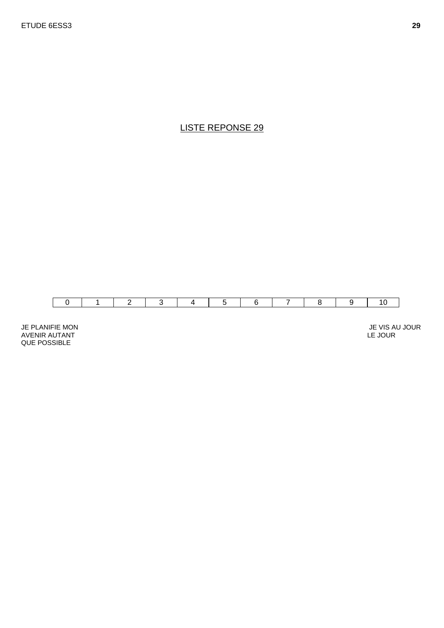

JE PLANIFIE MON AVENIR AUTANT QUE POSSIBLE

 JE VIS AU JOUR LE JOUR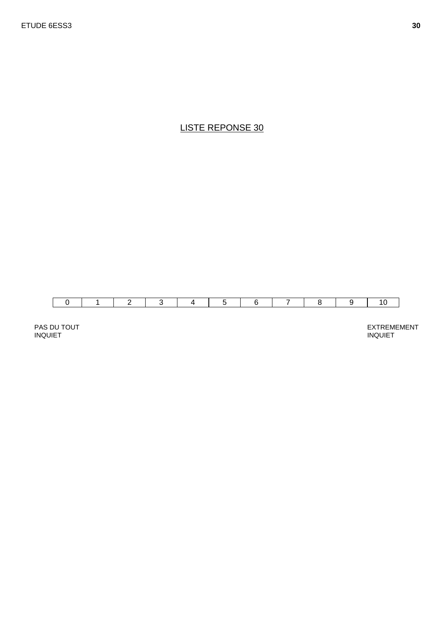

PAS DU TOUT INQUIET

EXTREMEMENT INQUIET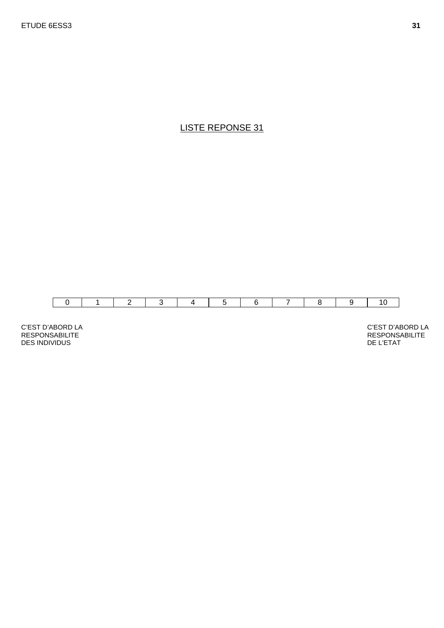

C'EST D'ABORD LA RESPONSABILITE DES INDIVIDUS

C'EST D'ABORD LA RESPONSABILITE DE L'ETAT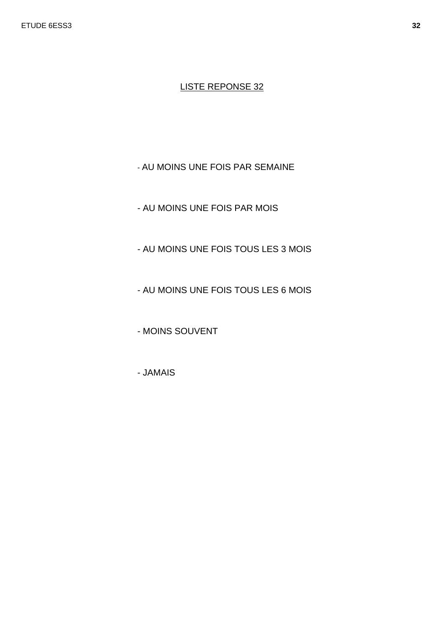- AU MOINS UNE FOIS PAR SEMAINE

- AU MOINS UNE FOIS PAR MOIS
- AU MOINS UNE FOIS TOUS LES 3 MOIS
- AU MOINS UNE FOIS TOUS LES 6 MOIS

- MOINS SOUVENT

- JAMAIS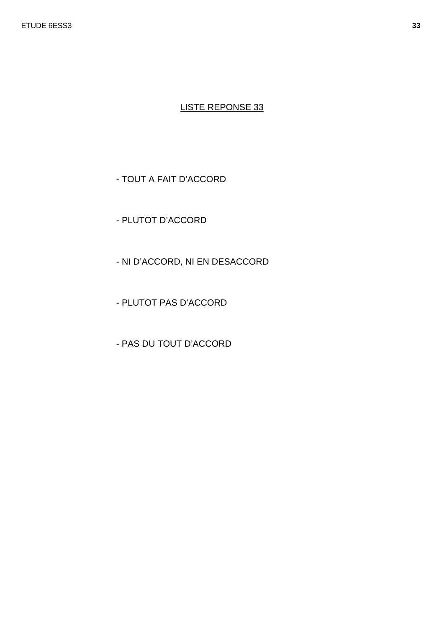## - TOUT A FAIT D'ACCORD

- PLUTOT D'ACCORD

- NI D'ACCORD, NI EN DESACCORD
- PLUTOT PAS D'ACCORD
- PAS DU TOUT D'ACCORD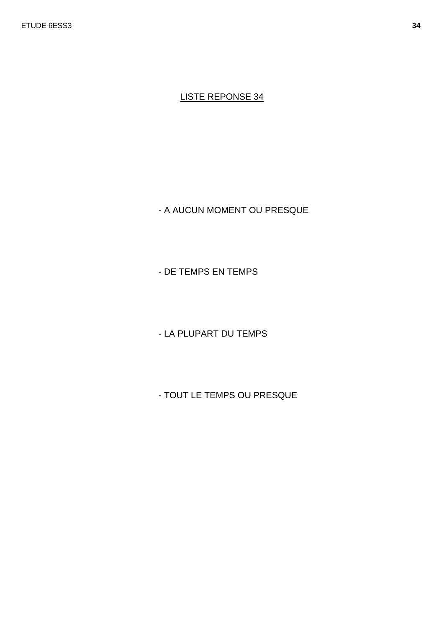- A AUCUN MOMENT OU PRESQUE

- DE TEMPS EN TEMPS

- LA PLUPART DU TEMPS

- TOUT LE TEMPS OU PRESQUE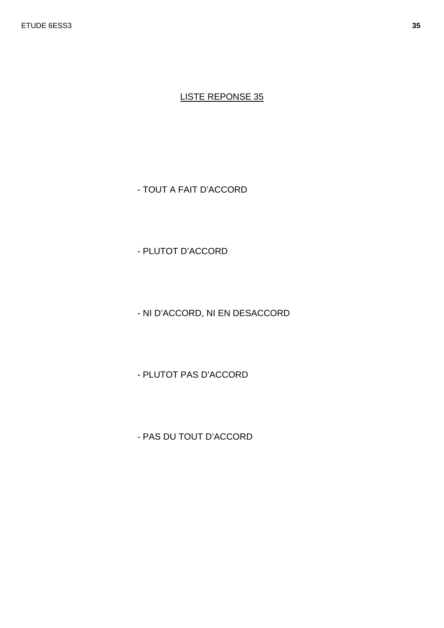- TOUT A FAIT D'ACCORD

- PLUTOT D'ACCORD

- NI D'ACCORD, NI EN DESACCORD

- PLUTOT PAS D'ACCORD

- PAS DU TOUT D'ACCORD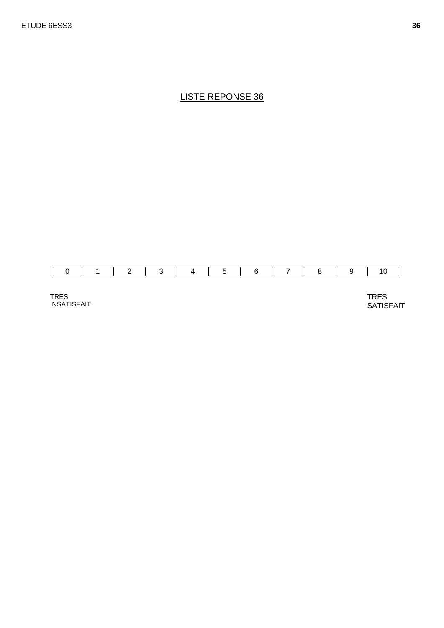TRES INSATISFAIT TRES **SATISFAIT**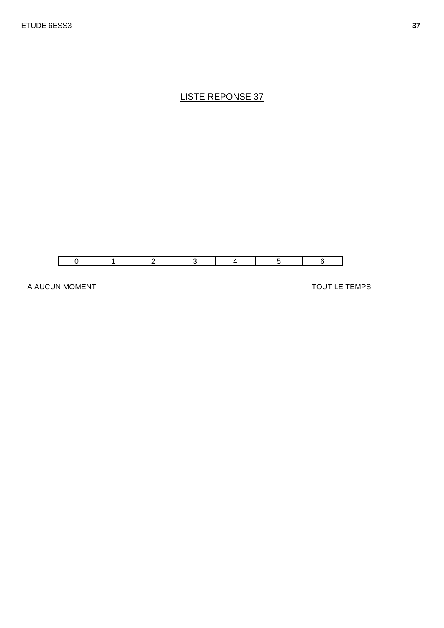

A AUCUN MOMENT

TOUT LE TEMPS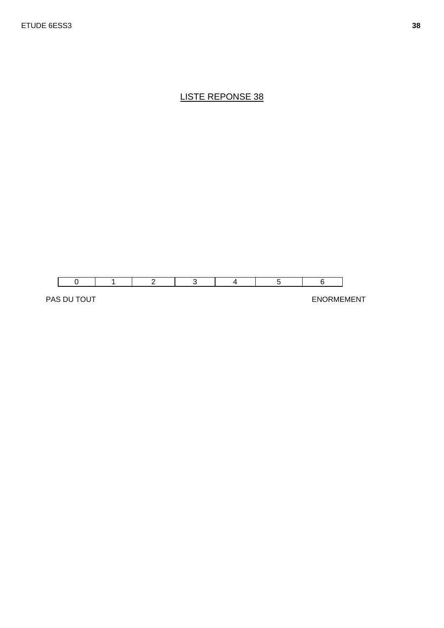

PAS DU TOUT SANTONIEMENT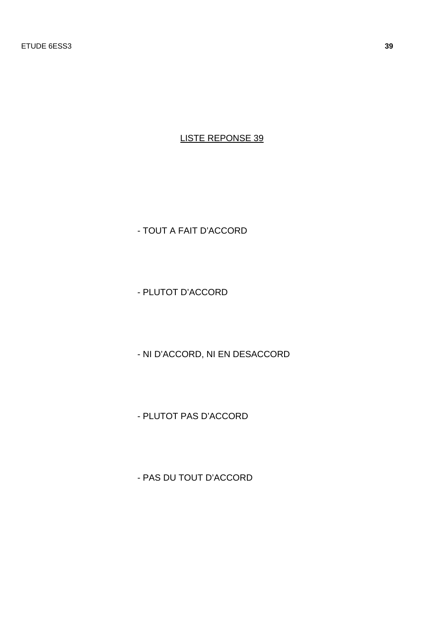- TOUT A FAIT D'ACCORD

- PLUTOT D'ACCORD

- NI D'ACCORD, NI EN DESACCORD

- PLUTOT PAS D'ACCORD

- PAS DU TOUT D'ACCORD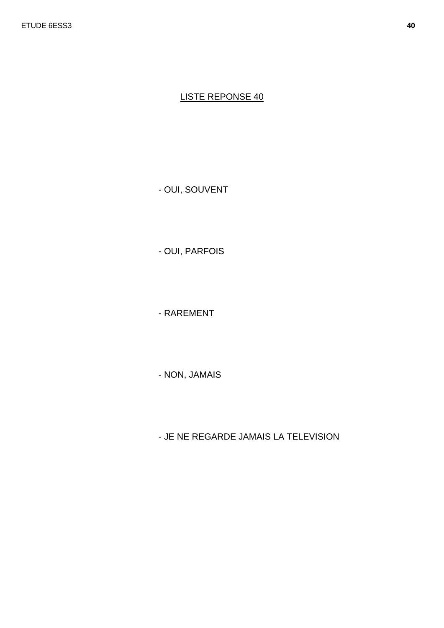- OUI, SOUVENT

- OUI, PARFOIS

- RAREMENT

- NON, JAMAIS

- JE NE REGARDE JAMAIS LA TELEVISION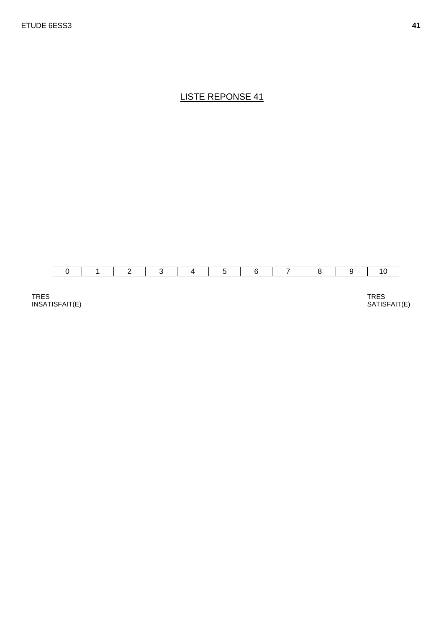

TRES INSATISFAIT(E)

TRES SATISFAIT(E)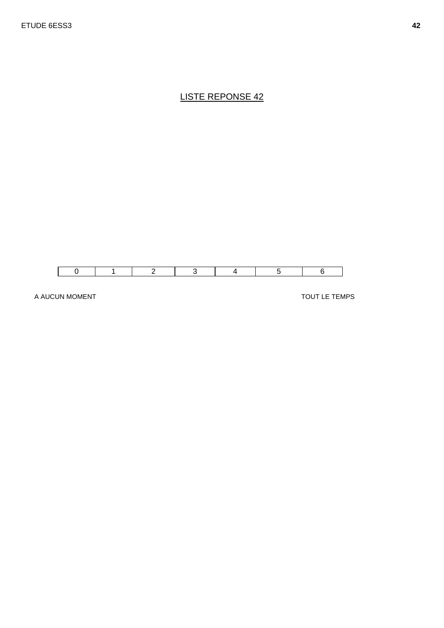

A AUCUN MOMENT

TOUT LE TEMPS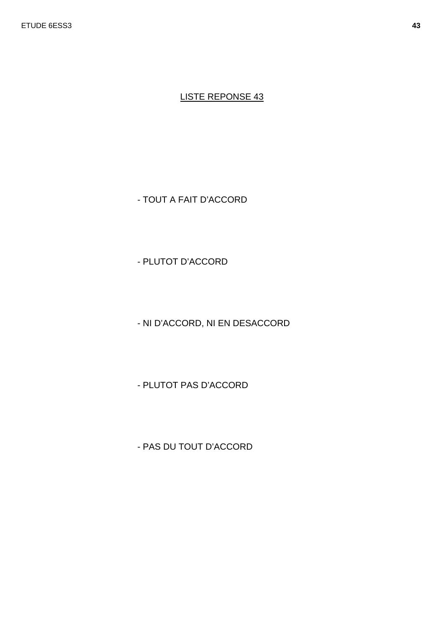- TOUT A FAIT D'ACCORD

- PLUTOT D'ACCORD

- NI D'ACCORD, NI EN DESACCORD

- PLUTOT PAS D'ACCORD

- PAS DU TOUT D'ACCORD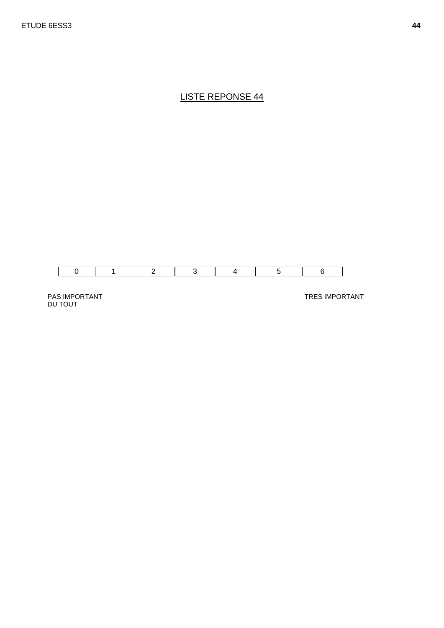

PAS IMPORTANT DU TOUT

TRES IMPORTANT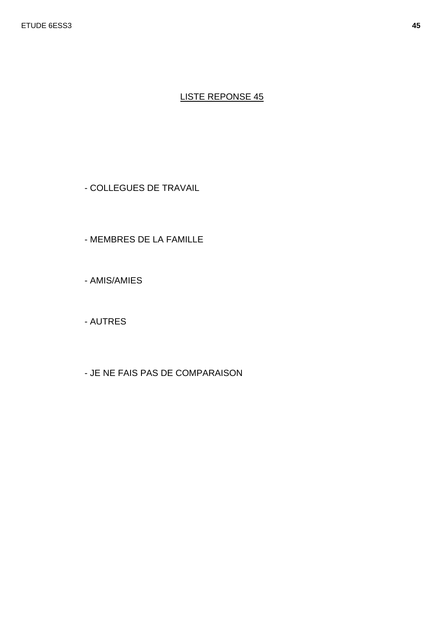- COLLEGUES DE TRAVAIL

- MEMBRES DE LA FAMILLE

- AMIS/AMIES

- AUTRES

- JE NE FAIS PAS DE COMPARAISON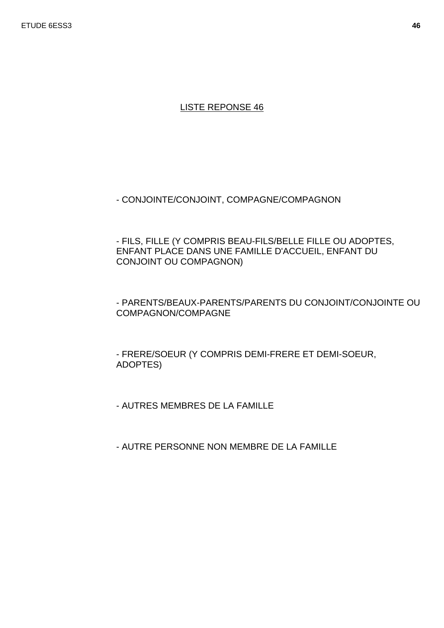- CONJOINTE/CONJOINT, COMPAGNE/COMPAGNON

- FILS, FILLE (Y COMPRIS BEAU-FILS/BELLE FILLE OU ADOPTES, ENFANT PLACE DANS UNE FAMILLE D'ACCUEIL, ENFANT DU CONJOINT OU COMPAGNON)

 - PARENTS/BEAUX-PARENTS/PARENTS DU CONJOINT/CONJOINTE OU COMPAGNON/COMPAGNE

- FRERE/SOEUR (Y COMPRIS DEMI-FRERE ET DEMI-SOEUR, ADOPTES)

- AUTRES MEMBRES DE LA FAMILLE

- AUTRE PERSONNE NON MEMBRE DE LA FAMILLE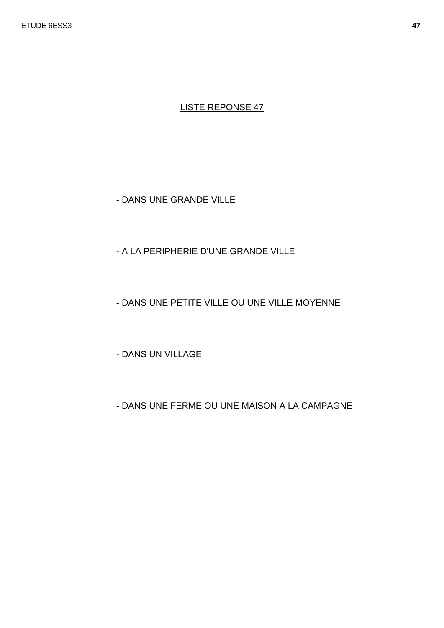- DANS UNE GRANDE VILLE

## - A LA PERIPHERIE D'UNE GRANDE VILLE

## - DANS UNE PETITE VILLE OU UNE VILLE MOYENNE

- DANS UN VILLAGE

- DANS UNE FERME OU UNE MAISON A LA CAMPAGNE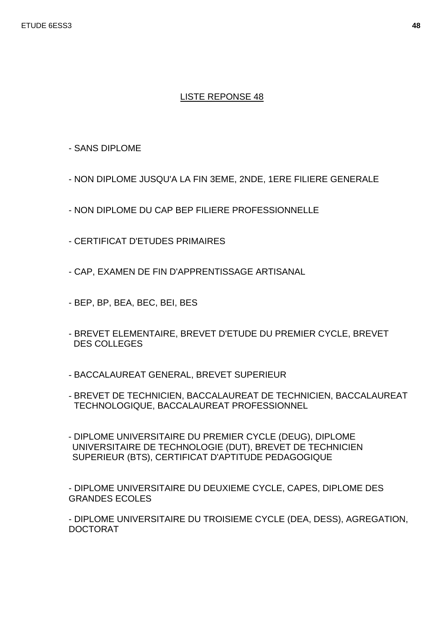- SANS DIPLOME

- NON DIPLOME JUSQU'A LA FIN 3EME, 2NDE, 1ERE FILIERE GENERALE

- NON DIPLOME DU CAP BEP FILIERE PROFESSIONNELLE
- CERTIFICAT D'ETUDES PRIMAIRES

- CAP, EXAMEN DE FIN D'APPRENTISSAGE ARTISANAL

- BEP, BP, BEA, BEC, BEI, BES
- BREVET ELEMENTAIRE, BREVET D'ETUDE DU PREMIER CYCLE, BREVET DES COLLEGES
- BACCALAUREAT GENERAL, BREVET SUPERIEUR
- BREVET DE TECHNICIEN, BACCALAUREAT DE TECHNICIEN, BACCALAUREAT TECHNOLOGIQUE, BACCALAUREAT PROFESSIONNEL
- DIPLOME UNIVERSITAIRE DU PREMIER CYCLE (DEUG), DIPLOME UNIVERSITAIRE DE TECHNOLOGIE (DUT), BREVET DE TECHNICIEN SUPERIEUR (BTS), CERTIFICAT D'APTITUDE PEDAGOGIQUE

- DIPLOME UNIVERSITAIRE DU DEUXIEME CYCLE, CAPES, DIPLOME DES GRANDES ECOLES

- DIPLOME UNIVERSITAIRE DU TROISIEME CYCLE (DEA, DESS), AGREGATION, DOCTORAT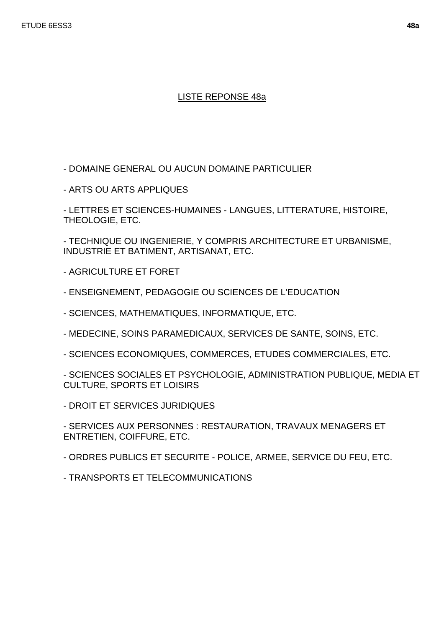## LISTE REPONSE 48a

- DOMAINE GENERAL OU AUCUN DOMAINE PARTICULIER

- ARTS OU ARTS APPLIQUES

- LETTRES ET SCIENCES-HUMAINES - LANGUES, LITTERATURE, HISTOIRE, THEOLOGIE, ETC.

- TECHNIQUE OU INGENIERIE, Y COMPRIS ARCHITECTURE ET URBANISME, INDUSTRIE ET BATIMENT, ARTISANAT, ETC.

- AGRICULTURE ET FORET
- ENSEIGNEMENT, PEDAGOGIE OU SCIENCES DE L'EDUCATION
- SCIENCES, MATHEMATIQUES, INFORMATIQUE, ETC.
- MEDECINE, SOINS PARAMEDICAUX, SERVICES DE SANTE, SOINS, ETC.
- SCIENCES ECONOMIQUES, COMMERCES, ETUDES COMMERCIALES, ETC.

- SCIENCES SOCIALES ET PSYCHOLOGIE, ADMINISTRATION PUBLIQUE, MEDIA ET CULTURE, SPORTS ET LOISIRS

- DROIT ET SERVICES JURIDIQUES

- SERVICES AUX PERSONNES : RESTAURATION, TRAVAUX MENAGERS ET ENTRETIEN, COIFFURE, ETC.

- ORDRES PUBLICS ET SECURITE - POLICE, ARMEE, SERVICE DU FEU, ETC.

- TRANSPORTS ET TELECOMMUNICATIONS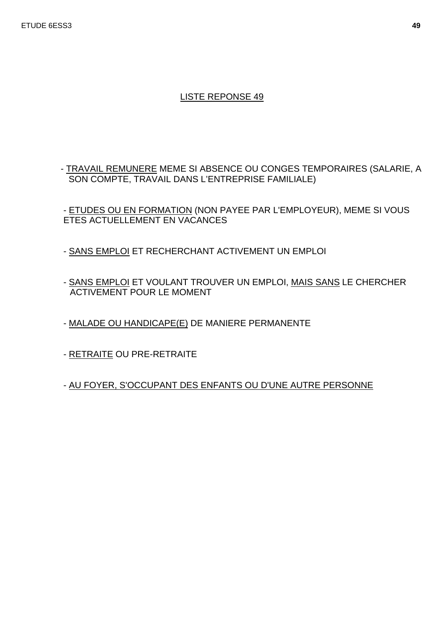- TRAVAIL REMUNERE MEME SI ABSENCE OU CONGES TEMPORAIRES (SALARIE, A SON COMPTE, TRAVAIL DANS L'ENTREPRISE FAMILIALE)

- ETUDES OU EN FORMATION (NON PAYEE PAR L'EMPLOYEUR), MEME SI VOUS ETES ACTUELLEMENT EN VACANCES

- SANS EMPLOI ET RECHERCHANT ACTIVEMENT UN EMPLOI
- SANS EMPLOI ET VOULANT TROUVER UN EMPLOI, MAIS SANS LE CHERCHER ACTIVEMENT POUR LE MOMENT
- MALADE OU HANDICAPE(E) DE MANIERE PERMANENTE
- RETRAITE OU PRE-RETRAITE

- AU FOYER, S'OCCUPANT DES ENFANTS OU D'UNE AUTRE PERSONNE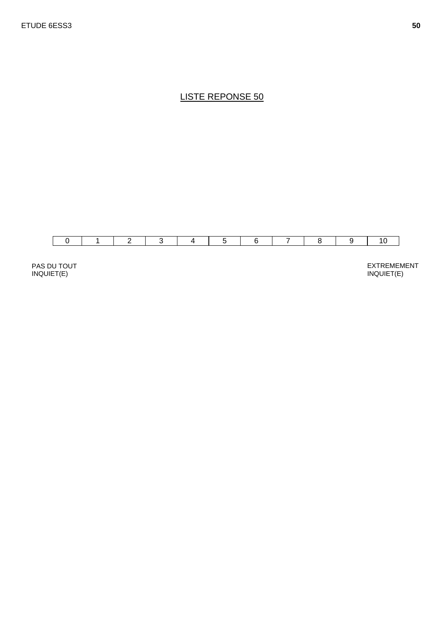

PAS DU TOUT INQUIET(E)

EXTREMEMENT INQUIET(E)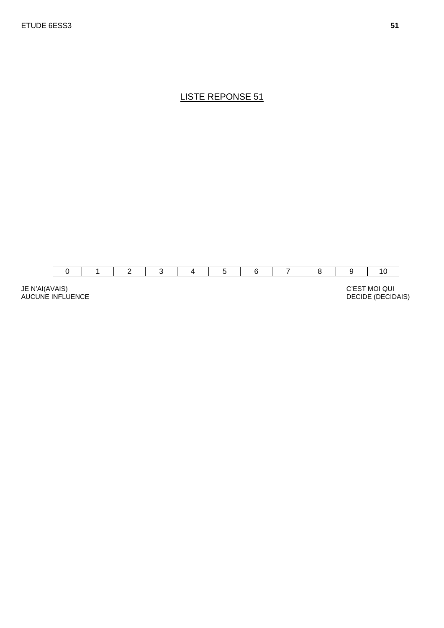

JE N'AI(AVAIS) AUCUNE INFLUENCE

 C'EST MOI QUI DECIDE (DECIDAIS)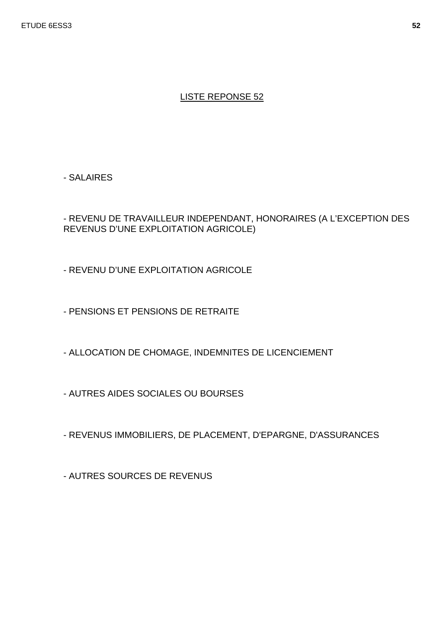- SALAIRES

- REVENU DE TRAVAILLEUR INDEPENDANT, HONORAIRES (A L'EXCEPTION DES REVENUS D'UNE EXPLOITATION AGRICOLE)

- REVENU D'UNE EXPLOITATION AGRICOLE

- PENSIONS ET PENSIONS DE RETRAITE

- ALLOCATION DE CHOMAGE, INDEMNITES DE LICENCIEMENT

- AUTRES AIDES SOCIALES OU BOURSES

- REVENUS IMMOBILIERS, DE PLACEMENT, D'EPARGNE, D'ASSURANCES

- AUTRES SOURCES DE REVENUS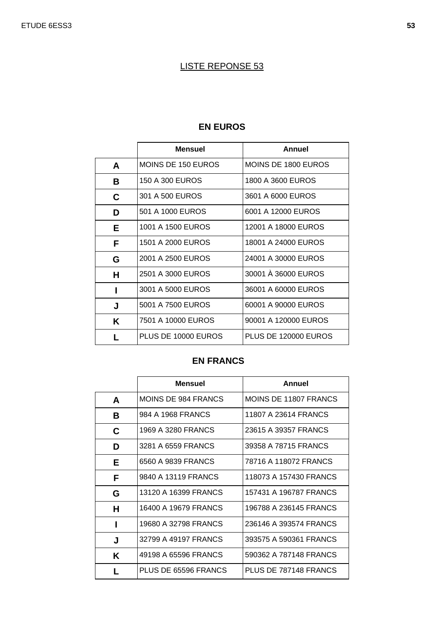# **EN EUROS**

|    | <b>Mensuel</b>            | Annuel               |
|----|---------------------------|----------------------|
| A  | <b>MOINS DE 150 EUROS</b> | MOINS DE 1800 EUROS  |
| В  | 150 A 300 EUROS           | 1800 A 3600 EUROS    |
| C  | 301 A 500 EUROS           | 3601 A 6000 EUROS    |
| D  | 501 A 1000 EUROS          | 6001 A 12000 EUROS   |
| E. | 1001 A 1500 EUROS         | 12001 A 18000 EUROS  |
| F  | 1501 A 2000 EUROS         | 18001 A 24000 EUROS  |
| G  | 2001 A 2500 EUROS         | 24001 A 30000 EUROS  |
| Н  | 2501 A 3000 EUROS         | 30001 À 36000 EUROS  |
| L  | 3001 A 5000 EUROS         | 36001 A 60000 EUROS  |
| J  | 5001 A 7500 EUROS         | 60001 A 90000 EUROS  |
| K  | 7501 A 10000 EUROS        | 90001 A 120000 EUROS |
|    | PLUS DE 10000 EUROS       | PLUS DE 120000 EUROS |

#### **EN FRANCS**

|   | <b>Mensuel</b>       | Annuel                 |
|---|----------------------|------------------------|
| A | MOINS DE 984 FRANCS  | MOINS DE 11807 FRANCS  |
| B | 984 A 1968 FRANCS    | 11807 A 23614 FRANCS   |
| C | 1969 A 3280 FRANCS   | 23615 A 39357 FRANCS   |
| D | 3281 A 6559 FRANCS   | 39358 A 78715 FRANCS   |
| Е | 6560 A 9839 FRANCS   | 78716 A 118072 FRANCS  |
| F | 9840 A 13119 FRANCS  | 118073 A 157430 FRANCS |
| G | 13120 A 16399 FRANCS | 157431 A 196787 FRANCS |
| н | 16400 A 19679 FRANCS | 196788 A 236145 FRANCS |
| ı | 19680 A 32798 FRANCS | 236146 A 393574 FRANCS |
| J | 32799 A 49197 FRANCS | 393575 A 590361 FRANCS |
| Κ | 49198 A 65596 FRANCS | 590362 A 787148 FRANCS |
| L | PLUS DE 65596 FRANCS | PLUS DE 787148 FRANCS  |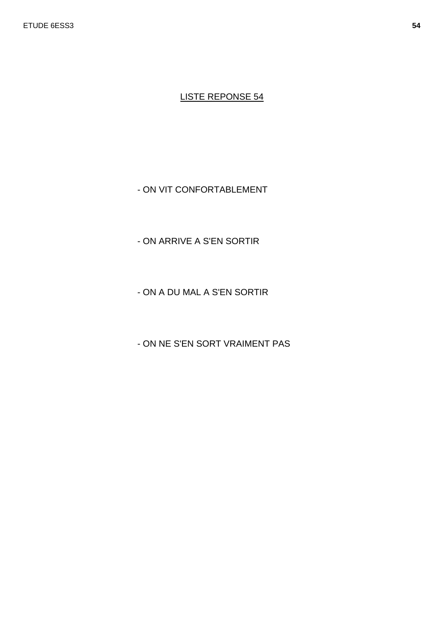- ON VIT CONFORTABLEMENT

- ON ARRIVE A S'EN SORTIR

- ON A DU MAL A S'EN SORTIR

- ON NE S'EN SORT VRAIMENT PAS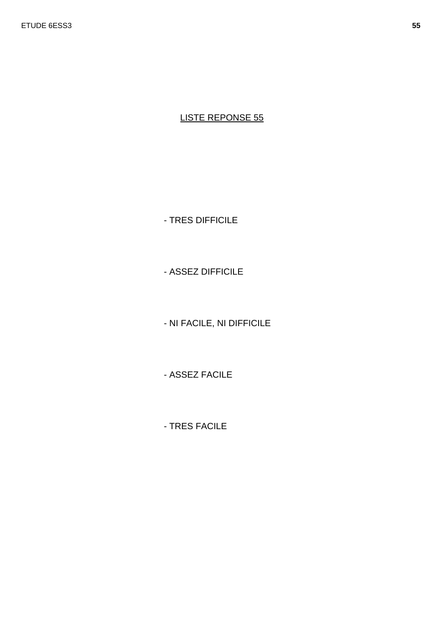- TRES DIFFICILE

- ASSEZ DIFFICILE

- NI FACILE, NI DIFFICILE

- ASSEZ FACILE

- TRES FACILE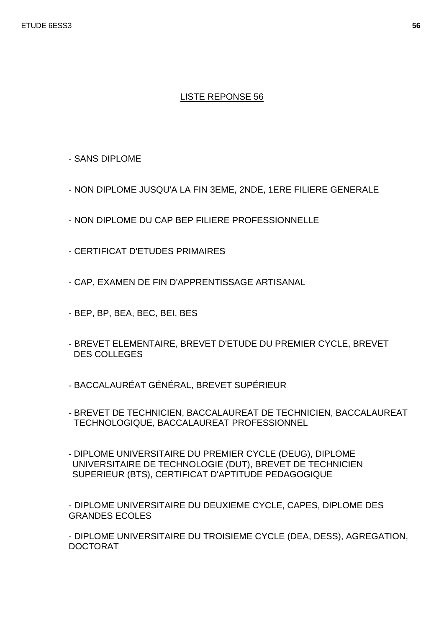- SANS DIPLOME

- NON DIPLOME JUSQU'A LA FIN 3EME, 2NDE, 1ERE FILIERE GENERALE
- NON DIPLOME DU CAP BEP FILIERE PROFESSIONNELLE
- CERTIFICAT D'ETUDES PRIMAIRES

- CAP, EXAMEN DE FIN D'APPRENTISSAGE ARTISANAL

- BEP, BP, BEA, BEC, BEI, BES
- BREVET ELEMENTAIRE, BREVET D'ETUDE DU PREMIER CYCLE, BREVET DES COLLEGES
- BACCALAURÉAT GÉNÉRAL, BREVET SUPÉRIEUR
- BREVET DE TECHNICIEN, BACCALAUREAT DE TECHNICIEN, BACCALAUREAT TECHNOLOGIQUE, BACCALAUREAT PROFESSIONNEL
- DIPLOME UNIVERSITAIRE DU PREMIER CYCLE (DEUG), DIPLOME UNIVERSITAIRE DE TECHNOLOGIE (DUT), BREVET DE TECHNICIEN SUPERIEUR (BTS), CERTIFICAT D'APTITUDE PEDAGOGIQUE

- DIPLOME UNIVERSITAIRE DU DEUXIEME CYCLE, CAPES, DIPLOME DES GRANDES ECOLES

- DIPLOME UNIVERSITAIRE DU TROISIEME CYCLE (DEA, DESS), AGREGATION, DOCTORAT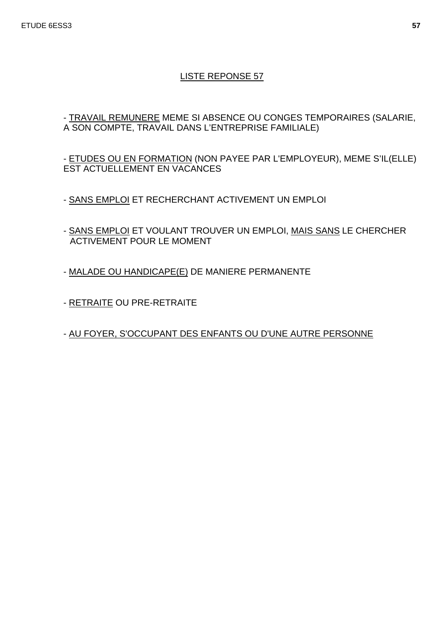- TRAVAIL REMUNERE MEME SI ABSENCE OU CONGES TEMPORAIRES (SALARIE, A SON COMPTE, TRAVAIL DANS L'ENTREPRISE FAMILIALE)

- ETUDES OU EN FORMATION (NON PAYEE PAR L'EMPLOYEUR), MEME S'IL(ELLE) EST ACTUELLEMENT EN VACANCES

- SANS EMPLOI ET RECHERCHANT ACTIVEMENT UN EMPLOI
- SANS EMPLOI ET VOULANT TROUVER UN EMPLOI, MAIS SANS LE CHERCHER ACTIVEMENT POUR LE MOMENT
- MALADE OU HANDICAPE(E) DE MANIERE PERMANENTE
- RETRAITE OU PRE-RETRAITE

- AU FOYER, S'OCCUPANT DES ENFANTS OU D'UNE AUTRE PERSONNE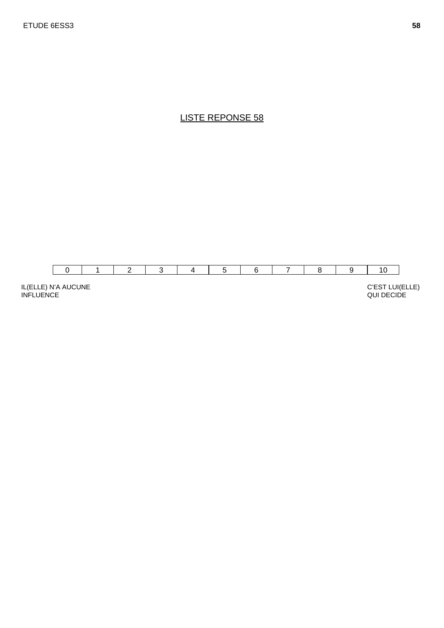

IL(ELLE) N'A AUCUNE INFLUENCE

QUI DECIDE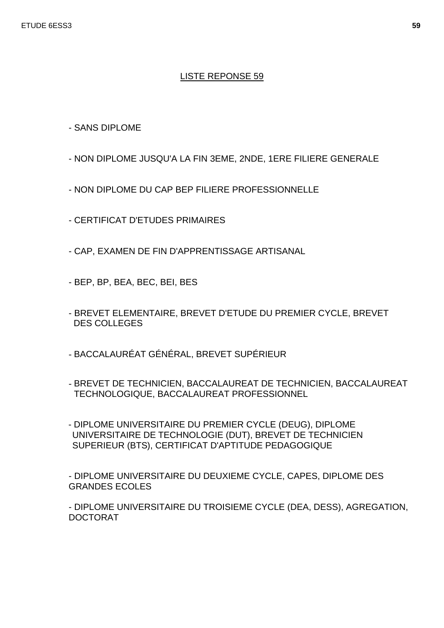- SANS DIPLOME

- NON DIPLOME JUSQU'A LA FIN 3EME, 2NDE, 1ERE FILIERE GENERALE
- NON DIPLOME DU CAP BEP FILIERE PROFESSIONNELLE
- CERTIFICAT D'ETUDES PRIMAIRES
- CAP, EXAMEN DE FIN D'APPRENTISSAGE ARTISANAL
- BEP, BP, BEA, BEC, BEI, BES
- BREVET ELEMENTAIRE, BREVET D'ETUDE DU PREMIER CYCLE, BREVET DES COLLEGES
- BACCALAURÉAT GÉNÉRAL, BREVET SUPÉRIEUR
- BREVET DE TECHNICIEN, BACCALAUREAT DE TECHNICIEN, BACCALAUREAT TECHNOLOGIQUE, BACCALAUREAT PROFESSIONNEL
- DIPLOME UNIVERSITAIRE DU PREMIER CYCLE (DEUG), DIPLOME UNIVERSITAIRE DE TECHNOLOGIE (DUT), BREVET DE TECHNICIEN SUPERIEUR (BTS), CERTIFICAT D'APTITUDE PEDAGOGIQUE

- DIPLOME UNIVERSITAIRE DU DEUXIEME CYCLE, CAPES, DIPLOME DES GRANDES ECOLES

- DIPLOME UNIVERSITAIRE DU TROISIEME CYCLE (DEA, DESS), AGREGATION, DOCTORAT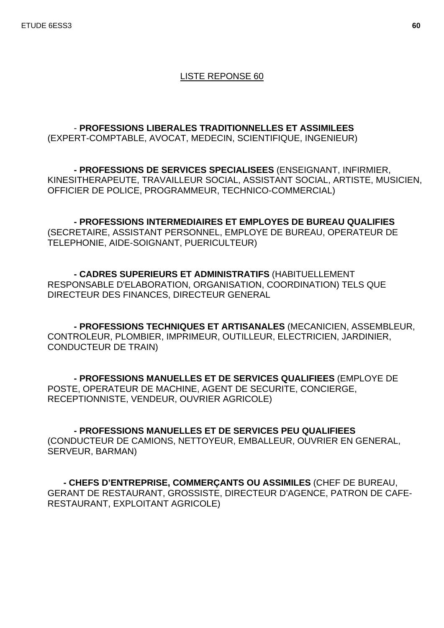- **PROFESSIONS LIBERALES TRADITIONNELLES ET ASSIMILEES** (EXPERT-COMPTABLE, AVOCAT, MEDECIN, SCIENTIFIQUE, INGENIEUR)

**- PROFESSIONS DE SERVICES SPECIALISEES** (ENSEIGNANT, INFIRMIER, KINESITHERAPEUTE, TRAVAILLEUR SOCIAL, ASSISTANT SOCIAL, ARTISTE, MUSICIEN, OFFICIER DE POLICE, PROGRAMMEUR, TECHNICO-COMMERCIAL)

**- PROFESSIONS INTERMEDIAIRES ET EMPLOYES DE BUREAU QUALIFIES**  (SECRETAIRE, ASSISTANT PERSONNEL, EMPLOYE DE BUREAU, OPERATEUR DE TELEPHONIE, AIDE-SOIGNANT, PUERICULTEUR)

**- CADRES SUPERIEURS ET ADMINISTRATIFS** (HABITUELLEMENT RESPONSABLE D'ELABORATION, ORGANISATION, COORDINATION) TELS QUE DIRECTEUR DES FINANCES, DIRECTEUR GENERAL

**- PROFESSIONS TECHNIQUES ET ARTISANALES** (MECANICIEN, ASSEMBLEUR, CONTROLEUR, PLOMBIER, IMPRIMEUR, OUTILLEUR, ELECTRICIEN, JARDINIER, CONDUCTEUR DE TRAIN)

**- PROFESSIONS MANUELLES ET DE SERVICES QUALIFIEES** (EMPLOYE DE POSTE, OPERATEUR DE MACHINE, AGENT DE SECURITE, CONCIERGE, RECEPTIONNISTE, VENDEUR, OUVRIER AGRICOLE)

**- PROFESSIONS MANUELLES ET DE SERVICES PEU QUALIFIEES**  (CONDUCTEUR DE CAMIONS, NETTOYEUR, EMBALLEUR, OUVRIER EN GENERAL, SERVEUR, BARMAN)

 **- CHEFS D'ENTREPRISE, COMMERÇANTS OU ASSIMILES** (CHEF DE BUREAU, GERANT DE RESTAURANT, GROSSISTE, DIRECTEUR D'AGENCE, PATRON DE CAFE-RESTAURANT, EXPLOITANT AGRICOLE)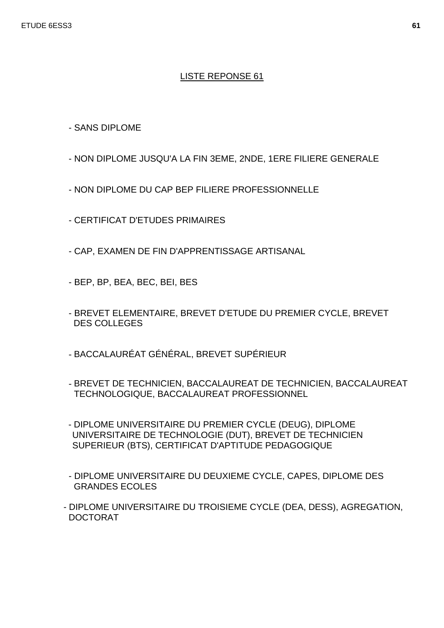- SANS DIPLOME

- NON DIPLOME JUSQU'A LA FIN 3EME, 2NDE, 1ERE FILIERE GENERALE
- NON DIPLOME DU CAP BEP FILIERE PROFESSIONNELLE
- CERTIFICAT D'ETUDES PRIMAIRES
- CAP, EXAMEN DE FIN D'APPRENTISSAGE ARTISANAL
- BEP, BP, BEA, BEC, BEI, BES
- BREVET ELEMENTAIRE, BREVET D'ETUDE DU PREMIER CYCLE, BREVET DES COLLEGES
- BACCALAURÉAT GÉNÉRAL, BREVET SUPÉRIEUR
- BREVET DE TECHNICIEN, BACCALAUREAT DE TECHNICIEN, BACCALAUREAT TECHNOLOGIQUE, BACCALAUREAT PROFESSIONNEL
- DIPLOME UNIVERSITAIRE DU PREMIER CYCLE (DEUG), DIPLOME UNIVERSITAIRE DE TECHNOLOGIE (DUT), BREVET DE TECHNICIEN SUPERIEUR (BTS), CERTIFICAT D'APTITUDE PEDAGOGIQUE
- DIPLOME UNIVERSITAIRE DU DEUXIEME CYCLE, CAPES, DIPLOME DES GRANDES ECOLES
- DIPLOME UNIVERSITAIRE DU TROISIEME CYCLE (DEA, DESS), AGREGATION, DOCTORAT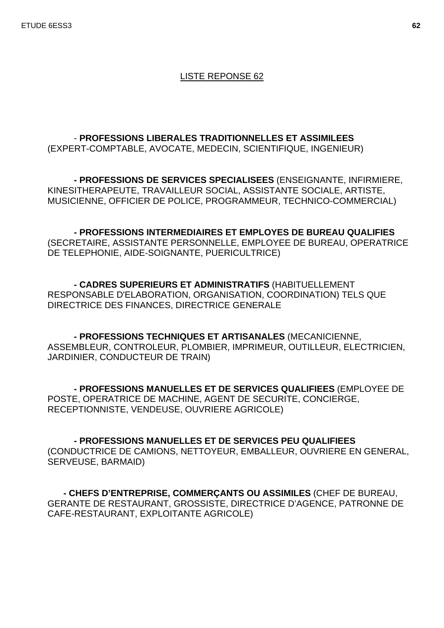ETUDE 6ESS3 **62**

#### LISTE REPONSE 62

 - **PROFESSIONS LIBERALES TRADITIONNELLES ET ASSIMILEES** (EXPERT-COMPTABLE, AVOCATE, MEDECIN, SCIENTIFIQUE, INGENIEUR)

**- PROFESSIONS DE SERVICES SPECIALISEES** (ENSEIGNANTE, INFIRMIERE, KINESITHERAPEUTE, TRAVAILLEUR SOCIAL, ASSISTANTE SOCIALE, ARTISTE, MUSICIENNE, OFFICIER DE POLICE, PROGRAMMEUR, TECHNICO-COMMERCIAL)

**- PROFESSIONS INTERMEDIAIRES ET EMPLOYES DE BUREAU QUALIFIES**  (SECRETAIRE, ASSISTANTE PERSONNELLE, EMPLOYEE DE BUREAU, OPERATRICE DE TELEPHONIE, AIDE-SOIGNANTE, PUERICULTRICE)

**- CADRES SUPERIEURS ET ADMINISTRATIFS** (HABITUELLEMENT RESPONSABLE D'ELABORATION, ORGANISATION, COORDINATION) TELS QUE DIRECTRICE DES FINANCES, DIRECTRICE GENERALE

**- PROFESSIONS TECHNIQUES ET ARTISANALES** (MECANICIENNE, ASSEMBLEUR, CONTROLEUR, PLOMBIER, IMPRIMEUR, OUTILLEUR, ELECTRICIEN, JARDINIER, CONDUCTEUR DE TRAIN)

**- PROFESSIONS MANUELLES ET DE SERVICES QUALIFIEES** (EMPLOYEE DE POSTE, OPERATRICE DE MACHINE, AGENT DE SECURITE, CONCIERGE, RECEPTIONNISTE, VENDEUSE, OUVRIERE AGRICOLE)

**- PROFESSIONS MANUELLES ET DE SERVICES PEU QUALIFIEES**  (CONDUCTRICE DE CAMIONS, NETTOYEUR, EMBALLEUR, OUVRIERE EN GENERAL, SERVEUSE, BARMAID)

 **- CHEFS D'ENTREPRISE, COMMERÇANTS OU ASSIMILES** (CHEF DE BUREAU, GERANTE DE RESTAURANT, GROSSISTE, DIRECTRICE D'AGENCE, PATRONNE DE CAFE-RESTAURANT, EXPLOITANTE AGRICOLE)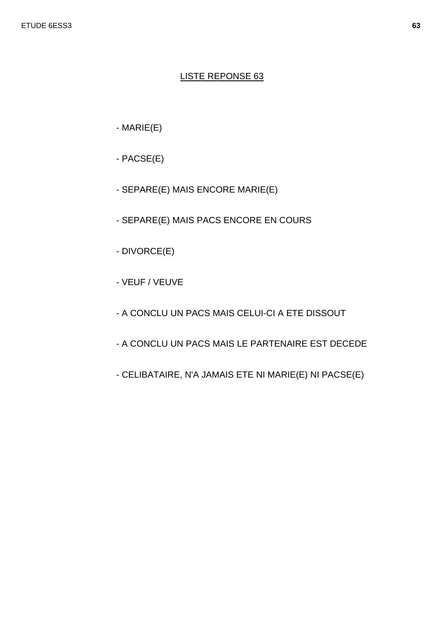- $-MARIE(E)$
- $-$  PACSE $(E)$
- SEPARE(E) MAIS ENCORE MARIE(E)
- SEPARE(E) MAIS PACS ENCORE EN COURS
- DIVORCE(E)
- VEUF / VEUVE
- A CONCLU UN PACS MAIS CELUI-CI A ETE DISSOUT
- A CONCLU UN PACS MAIS LE PARTENAIRE EST DECEDE
- CELIBATAIRE, N'A JAMAIS ETE NI MARIE(E) NI PACSE(E)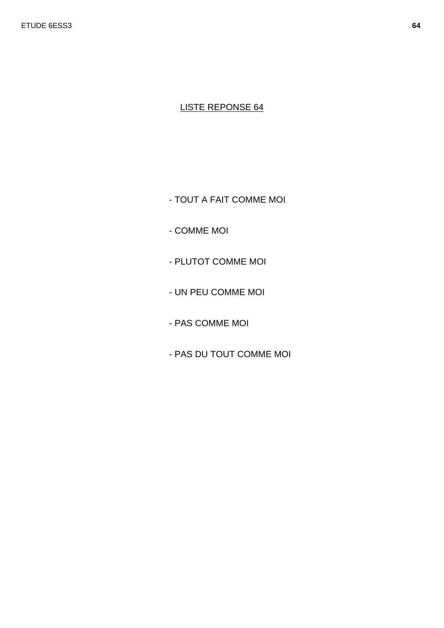- TOUT A FAIT COMME MOI

- COMME MOI
- PLUTOT COMME MOI
- UN PEU COMME MOI
- PAS COMME MOI
- PAS DU TOUT COMME MOI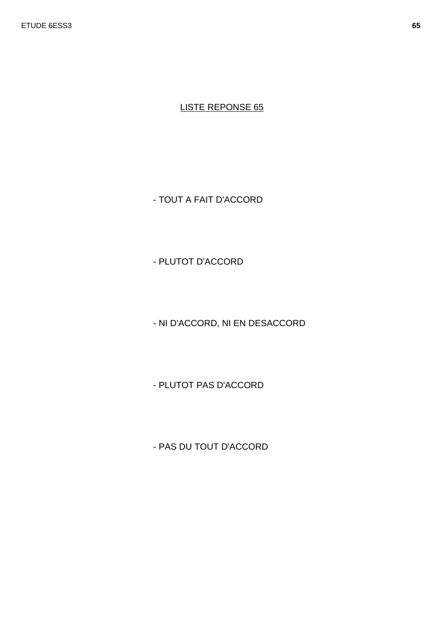- TOUT A FAIT D'ACCORD

- PLUTOT D'ACCORD

- NI D'ACCORD, NI EN DESACCORD

- PLUTOT PAS D'ACCORD

- PAS DU TOUT D'ACCORD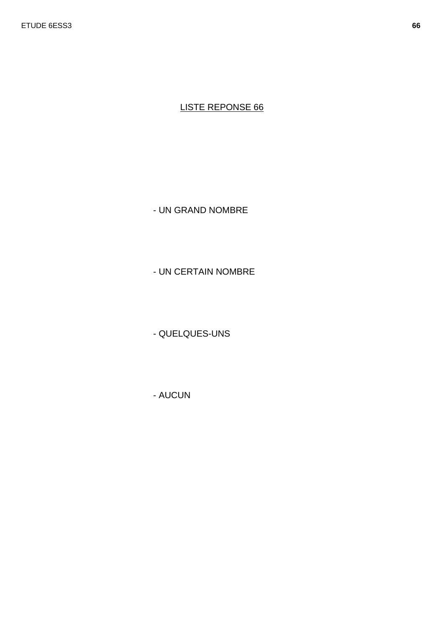- UN GRAND NOMBRE

- UN CERTAIN NOMBRE

- QUELQUES-UNS

- AUCUN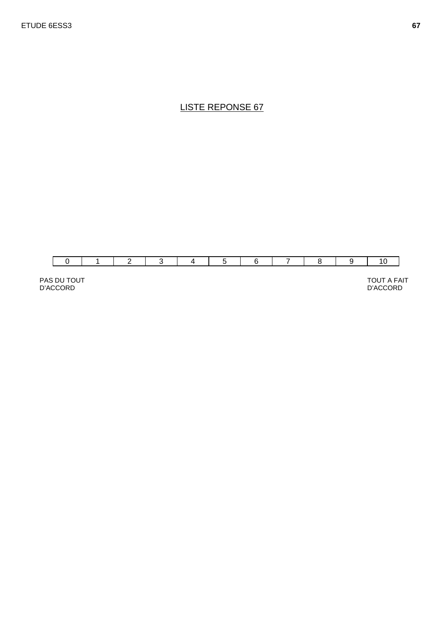

PAS DU TOUT D'ACCORD

TOUT A FAIT AND RESERVE TO LOCAL TOUT A FAIT AND RESERVE TO LOCAL TO LOCAL TO LOCAL TO LOCAL TO LOCAL TO LOCAL TO LOCAL THREE OF THE SAME OF THE SAME OF THE SAME OF THE SAME OF THE SAME OF THE SAME OF THE SAME OF THE SAME D'ACCORD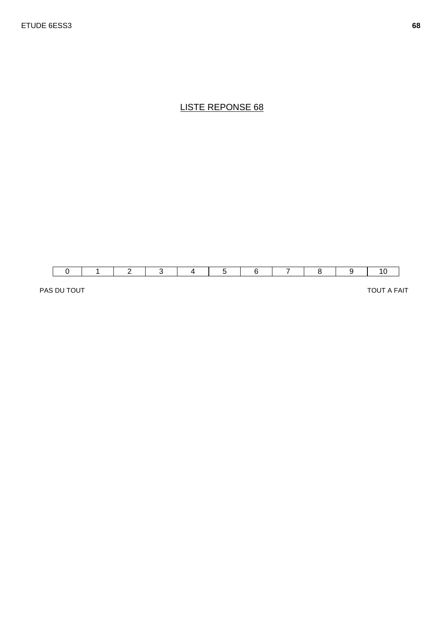

PAS DU TOUT A FAIT TOUT A FAIT TOUT A FAIT TOUT A FAIT TOUT A FAIT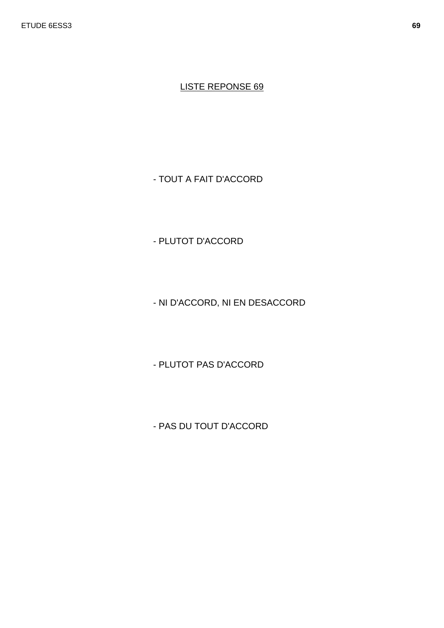- TOUT A FAIT D'ACCORD

- PLUTOT D'ACCORD

- NI D'ACCORD, NI EN DESACCORD

- PLUTOT PAS D'ACCORD

- PAS DU TOUT D'ACCORD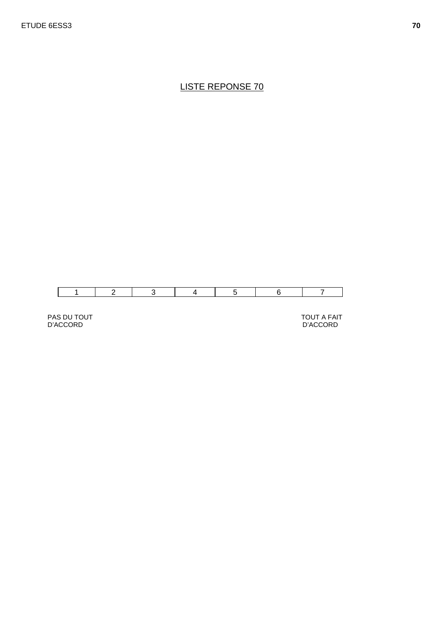

PAS DU TOUT D'ACCORD

TOUT A FAIT D'ACCORD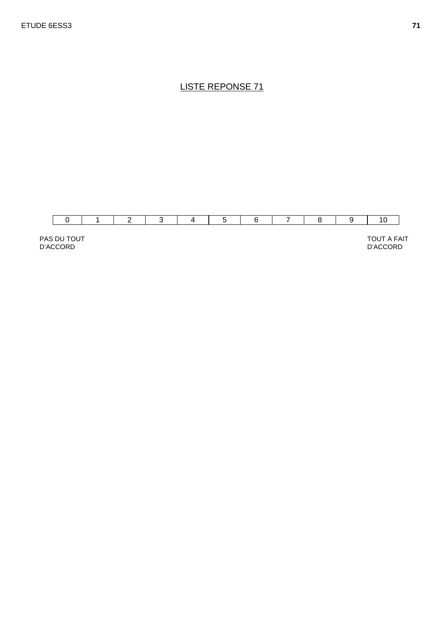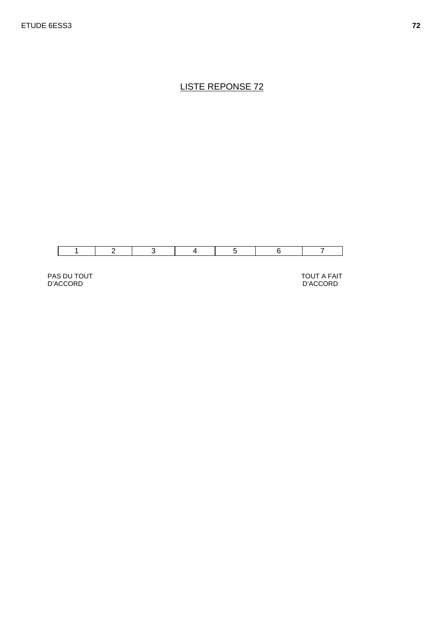

PAS DU TOUT D'ACCORD

TOUT A FAIT D'ACCORD